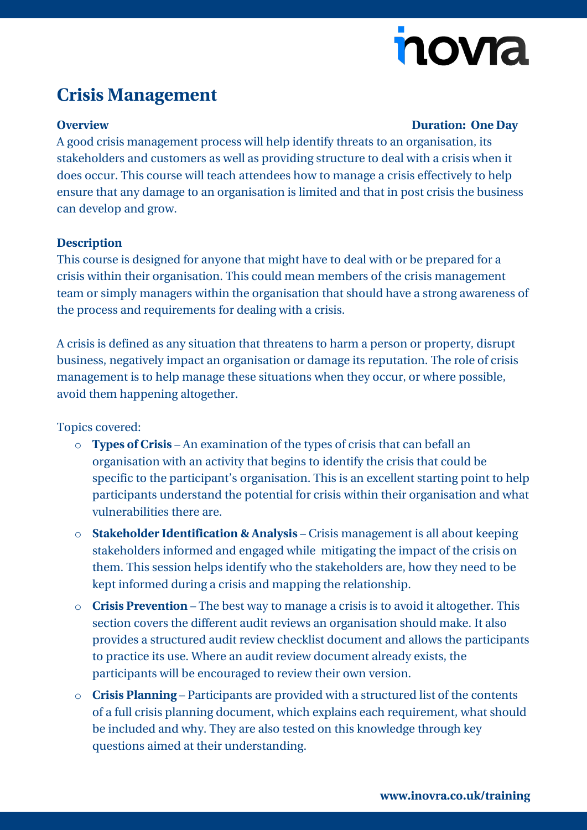# nova

## **Crisis Management**

#### **Overview Duration: One Day**

A good crisis management process will help identify threats to an organisation, its stakeholders and customers as well as providing structure to deal with a crisis when it does occur. This course will teach attendees how to manage a crisis effectively to help ensure that any damage to an organisation is limited and that in post crisis the business can develop and grow.

#### **Description**

This course is designed for anyone that might have to deal with or be prepared for a crisis within their organisation. This could mean members of the crisis management team or simply managers within the organisation that should have a strong awareness of the process and requirements for dealing with a crisis.

A crisis is defined as any situation that threatens to harm a person or property, disrupt business, negatively impact an organisation or damage its reputation. The role of crisis management is to help manage these situations when they occur, or where possible, avoid them happening altogether.

Topics covered:

- o **Types of Crisis**  An examination of the types of crisis that can befall an organisation with an activity that begins to identify the crisis that could be specific to the participant's organisation. This is an excellent starting point to help participants understand the potential for crisis within their organisation and what vulnerabilities there are.
- o **Stakeholder Identification & Analysis**  Crisis management is all about keeping stakeholders informed and engaged while mitigating the impact of the crisis on them. This session helps identify who the stakeholders are, how they need to be kept informed during a crisis and mapping the relationship.
- o **Crisis Prevention**  The best way to manage a crisis is to avoid it altogether. This section covers the different audit reviews an organisation should make. It also provides a structured audit review checklist document and allows the participants to practice its use. Where an audit review document already exists, the participants will be encouraged to review their own version.
- o **Crisis Planning**  Participants are provided with a structured list of the contents of a full crisis planning document, which explains each requirement, what should be included and why. They are also tested on this knowledge through key questions aimed at their understanding.